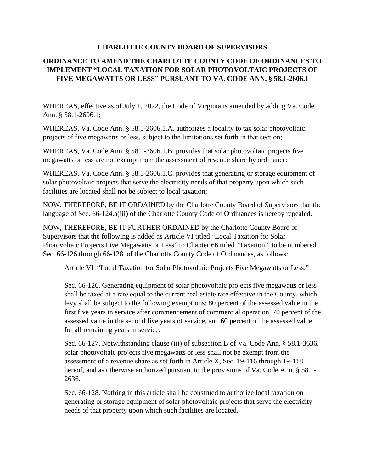## **CHARLOTTE COUNTY BOARD OF SUPERVISORS**

## **ORDINANCE TO AMEND THE CHARLOTTE COUNTY CODE OF ORDINANCES TO IMPLEMENT "LOCAL TAXATION FOR SOLAR PHOTOVOLTAIC PROJECTS OF FIVE MEGAWATTS OR LESS" PURSUANT TO VA. CODE ANN. § 58.1-2606.1**

WHEREAS, effective as of July 1, 2022, the Code of Virginia is amended by adding Va. Code Ann. § 58.1-2606.1;

WHEREAS, Va. Code Ann. § 58.1-2606.1.A. authorizes a locality to tax solar photovoltaic projects of five megawatts or less, subject to the limitations set forth in that section;

WHEREAS, Va. Code Ann. § 58.1-2606.1.B. provides that solar photovoltaic projects five megawatts or less are not exempt from the assessment of revenue share by ordinance;

WHEREAS, Va. Code Ann. § 58.1-2606.1.C. provides that generating or storage equipment of solar photovoltaic projects that serve the electricity needs of that property upon which such facilities are located shall not be subject to local taxation;

NOW, THEREFORE, BE IT ORDAINED by the Charlotte County Board of Supervisors that the language of Sec. 66-124.a(iii) of the Charlotte County Code of Ordinances is hereby repealed.

NOW, THEREFORE, BE IT FURTHER ORDAINED by the Charlotte County Board of Supervisors that the following is added as Article VI titled "Local Taxation for Solar Photovoltaic Projects Five Megawatts or Less" to Chapter 66 titled "Taxation", to be numbered Sec. 66-126 through 66-128, of the Charlotte County Code of Ordinances, as follows:

Article VI "Local Taxation for Solar Photovoltaic Projects Five Megawatts or Less."

Sec. 66-126. Generating equipment of solar photovoltaic projects five megawatts or less shall be taxed at a rate equal to the current real estate rate effective in the County, which levy shall be subject to the following exemptions: 80 percent of the assessed value in the first five years in service after commencement of commercial operation, 70 percent of the assessed value in the second five years of service, and 60 percent of the assessed value for all remaining years in service.

Sec. 66-127. Notwithstanding clause (iii) of subsection B of Va. Code Ann. § 58.1-3636, solar photovoltaic projects five megawatts or less shall not be exempt from the assessment of a revenue share as set forth in Article X, Sec. 19-116 through 19-118 hereof, and as otherwise authorized pursuant to the provisions of Va. Code Ann. § 58.1-2636.

Sec. 66-128. Nothing in this article shall be construed to authorize local taxation on generating or storage equipment of solar photovoltaic projects that serve the electricity needs of that property upon which such facilities are located.